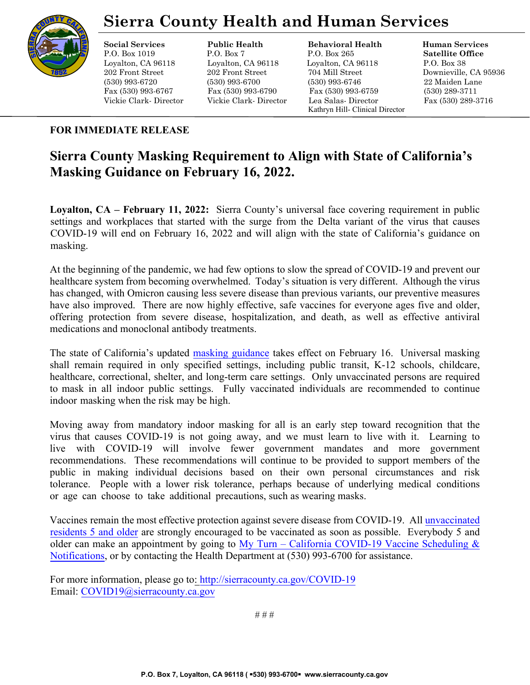

## **Sierra County Health and Human Services**

#### **Social Services Public Health Behavioral Health Human Services**

P.O. Box 1019 P.O. Box 7 P.O. Box 265 **Satellite Office** Loyalton, CA 96118 Loyalton, CA 96118 Loyalton, CA 96118 P.O. Box 38 202 Front Street 202 Front Street 704 Mill Street Downieville, CA 95936 (530) 993-6720 (530) 993-6700 (530) 993-6746 22 Maiden Lane Fax (530) 993-6767 Fax (530) 993-6790 Fax (530) 993-6759 (530) 289-3711 Vickie Clark- Director Vickie Clark- Director Lea Salas- Director Fax (530) 289-3716 Kathryn Hill- Clinical Director

### **FOR IMMEDIATE RELEASE**

### **Sierra County Masking Requirement to Align with State of California's Masking Guidance on February 16, 2022.**

**Loyalton, CA – February 11, 2022:** Sierra County's universal face covering requirement in public settings and workplaces that started with the surge from the Delta variant of the virus that causes COVID-19 will end on February 16, 2022 and will align with the state of California's guidance on masking.

At the beginning of the pandemic, we had few options to slow the spread of COVID-19 and prevent our healthcare system from becoming overwhelmed. Today's situation is very different. Although the virus has changed, with Omicron causing less severe disease than previous variants, our preventive measures have also improved. There are now highly effective, safe vaccines for everyone ages five and older, offering protection from severe disease, hospitalization, and death, as well as effective antiviral medications and monoclonal antibody treatments.

The state of California's update[d masking guidance](https://www.cdph.ca.gov/Programs/CID/DCDC/Pages/COVID-19/guidance-for-face-coverings.aspx) takes effect on February 16. Universal masking shall remain required in only specified settings, including public transit, K-12 schools, childcare, healthcare, correctional, shelter, and long-term care settings. Only unvaccinated persons are required to mask in all indoor public settings. Fully vaccinated individuals are recommended to continue indoor masking when the risk may be high.

Moving away from mandatory indoor masking for all is an early step toward recognition that the virus that causes COVID-19 is not going away, and we must learn to live with it. Learning to live with COVID-19 will involve fewer government mandates and more government recommendations. These recommendations will continue to be provided to support members of the public in making individual decisions based on their own personal circumstances and risk tolerance. People with a lower risk tolerance, perhaps because of underlying medical conditions or age can choose to take additional precautions, such as wearing masks.

[Vaccines remain](https://www.cdc.gov/coronavirus/2019-ncov/vaccines/vaccine-benefits.html) the most effective protection against severe disease from COVID-19. All unvaccinated residents 5 and older are strongly encourag[ed to be vaccinated as soon as possible. Everybody 5 and](https://myturn.ca.gov/)  [older can mak](https://myturn.ca.gov/)e an appointment by going to My Turn – California COVID-19 Vaccine Scheduling  $\&$ Notifications, or by contacting the [Health Department at \(530\) 993-6700 fo](http://sierracounty.ca.gov/582/Coronavirus-COVID-19)r assistance.

For more information, please go t[o: ht](http://sierracounty.ca.gov/582/Coronavirus-COVID-19)tp://sierracounty.ca.gov/COVID-19 Email: COVID19@sierracounty.ca.gov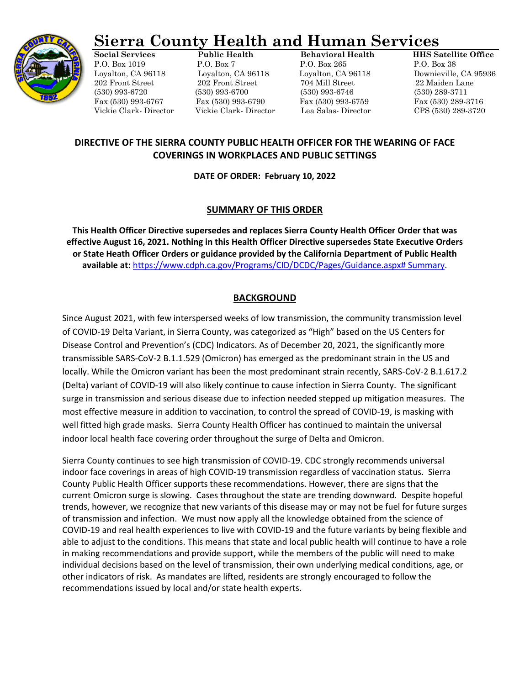

# **Sierra County Health and Human Services**

P.O. Box 1019 P.O. Box 7 P.O. Box 265 P.O. Box 38 Loyalton, CA 96118 Loyalton, CA 96118 Loyalton, CA 96118 Downieville, CA 95936 202 Front Street 202 Front Street 704 Mill Street 22 Maiden Lane (530) 993-6720 (530) 993-6700 (530) 993-6746 (530) 289-3711 Fax (530) 993-6767 Fax (530) 993-6790 Fax (530) 993-6759 Fax (530) 289-3716

**Social Services Public Health Behavioral Health HHS Satellite Office** Vickie Clark- Director Vickie Clark- Director Lea Salas- Director CPS (530) 289-3720

### **DIRECTIVE OF THE SIERRA COUNTY PUBLIC HEALTH OFFICER FOR THE WEARING OF FACE COVERINGS IN WORKPLACES AND PUBLIC SETTINGS**

**DATE OF ORDER: February 10, 2022**

### **SUMMARY OF THIS ORDER**

**This Health Officer Directive supersedes and replaces Sierra County Health Officer Order that was effective August 16, 2021. Nothing in this Health Officer Directive supersedes State Executive Orders or State Heath Officer Orders or guidance provided by the California Department of Public Health available at:** [https://www.cdph.ca.gov/Programs/CID/DCDC/Pages/Guidance.aspx# Summary.](https://www.cdph.ca.gov/Programs/CID/DCDC/Pages/Guidance.aspx#%20Summary)

### **BACKGROUND**

Since August 2021, with few interspersed weeks of low transmission, the community transmission level of COVID-19 Delta Variant, in Sierra County, was categorized as "High" based on the US Centers for Disease Control and Prevention's (CDC) Indicators. As of December 20, 2021, the significantly more transmissible SARS-CoV-2 B.1.1.529 (Omicron) has emerged as the predominant strain in the US and locally. While the Omicron variant has been the most predominant strain recently, SARS-CoV-2 B.1.617.2 (Delta) variant of COVID-19 will also likely continue to cause infection in Sierra County. The significant surge in transmission and serious disease due to infection needed stepped up mitigation measures. The most effective measure in addition to vaccination, to control the spread of COVID-19, is masking with well fitted high grade masks. Sierra County Health Officer has continued to maintain the universal indoor local health face covering order throughout the surge of Delta and Omicron.

Sierra County continues to see high transmission of COVID-19. CDC strongly recommends universal indoor face coverings in areas of high COVID-19 transmission regardless of vaccination status. Sierra County Public Health Officer supports these recommendations. However, there are signs that the current Omicron surge is slowing. Cases throughout the state are trending downward. Despite hopeful trends, however, we recognize that new variants of this disease may or may not be fuel for future surges of transmission and infection. We must now apply all the knowledge obtained from the science of COVID-19 and real health experiences to live with COVID-19 and the future variants by being flexible and able to adjust to the conditions. This means that state and local public health will continue to have a role in making recommendations and provide support, while the members of the public will need to make individual decisions based on the level of transmission, their own underlying medical conditions, age, or other indicators of risk. As mandates are lifted, residents are strongly encouraged to follow the recommendations issued by local and/or state health experts.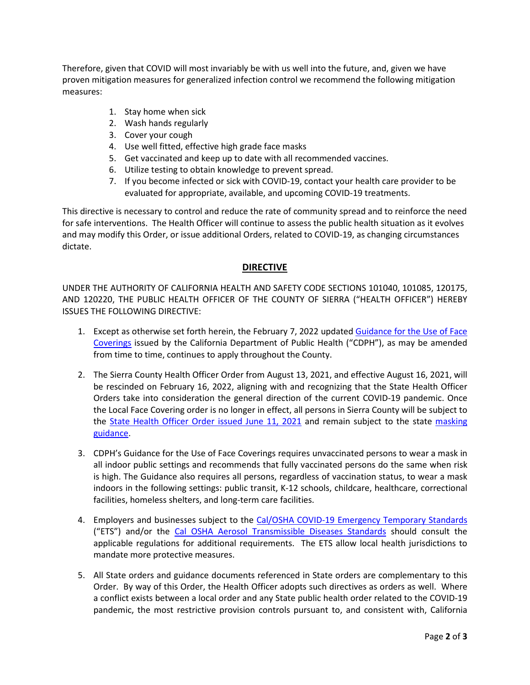Therefore, given that COVID will most invariably be with us well into the future, and, given we have proven mitigation measures for generalized infection control we recommend the following mitigation measures:

- 1. Stay home when sick
- 2. Wash hands regularly
- 3. Cover your cough
- 4. Use well fitted, effective high grade face masks
- 5. Get vaccinated and keep up to date with all recommended vaccines.
- 6. Utilize testing to obtain knowledge to prevent spread.
- 7. If you become infected or sick with COVID-19, contact your health care provider to be evaluated for appropriate, available, and upcoming COVID-19 treatments.

This directive is necessary to control and reduce the rate of community spread and to reinforce the need for safe interventions. The Health Officer will continue to assess the public health situation as it evolves and may modify this Order, or issue additional Orders, related to COVID-19, as changing circumstances dictate.

### **DIRECTIVE**

UNDER THE AUTHORITY OF CALIFORNIA HEALTH AND SAFETY CODE SECTIONS 101040, 101085, 120175, AND 120220, THE PUBLIC HEALTH OFFICER OF THE COUNTY OF SIERRA ("HEALTH OFFICER") HEREBY ISSUES THE FOLLOWING DIRECTIVE:

- 1. Except as otherwise set forth herein, the February 7, 2022 updated Guidance for the Use of Face [Coverings](https://www.cdph.ca.gov/Programs/CID/DCDC/Pages/COVID-19/guidance-for-face-coverings.aspx) issued by the California Department of Public Health ("CDPH"), as may be amended from time to time, continues to apply throughout the County.
- 2. The Sierra County Health Officer Order from August 13, 2021, and effective August 16, 2021, will be rescinded on February 16, 2022, aligning with and recognizing that the State Health Officer Orders take into consideration the general direction of the current COVID-19 pandemic. Once the Local Face Covering order is no longer in effect, all persons in Sierra County will be subject to the State Health Officer Order [issued June 11, 2021](https://www.cdph.ca.gov/Programs/CID/DCDC/Pages/COVID-19/Order-of-the-State-Public-Health-Officer-Beyond-Blueprint.aspx) and remain subject to the state [masking](https://www.cdph.ca.gov/Programs/CID/DCDC/Pages/COVID-19/guidance-for-face-coverings.aspx)  [guidance.](https://www.cdph.ca.gov/Programs/CID/DCDC/Pages/COVID-19/guidance-for-face-coverings.aspx)
- 3. CDPH's Guidance for the Use of Face Coverings requires unvaccinated persons to wear a mask in all indoor public settings and recommends that fully vaccinated persons do the same when risk is high. The Guidance also requires all persons, regardless of vaccination status, to wear a mask indoors in the following settings: public transit, K-12 schools, childcare, healthcare, correctional facilities, homeless shelters, and long-term care facilities.
- 4. Employers and businesses subject to the [Cal/OSHA COVID-19 Emergency Temporary Standards](https://www.dir.ca.gov/dosh/coronavirus/ETS.html) ("ETS") and/or the [Cal OSHA Aerosol Transmissible Diseases Standards](https://www.dir.ca.gov/dosh/dosh_publications/ATD-Guide.pdf) should consult the applicable regulations for additional requirements. The ETS allow local health jurisdictions to mandate more protective measures.
- 5. All State orders and guidance documents referenced in State orders are complementary to this Order. By way of this Order, the Health Officer adopts such directives as orders as well. Where a conflict exists between a local order and any State public health order related to the COVID-19 pandemic, the most restrictive provision controls pursuant to, and consistent with, California